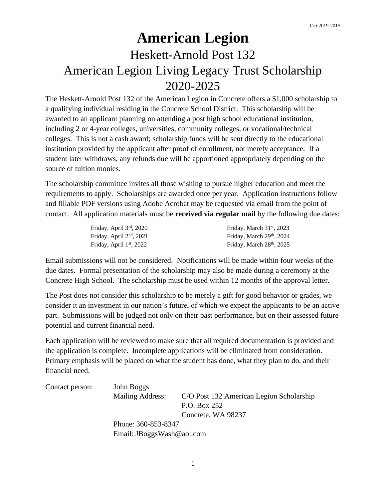## **American Legion**  Heskett-Arnold Post 132 American Legion Living Legacy Trust Scholarship 2020-2025

The Heskett-Arnold Post 132 of the American Legion in Concrete offers a \$1,000 scholarship to a qualifying individual residing in the Concrete School District. This scholarship will be awarded to an applicant planning on attending a post high school educational institution, including 2 or 4-year colleges, universities, community colleges, or vocational/technical colleges. This is not a cash award; scholarship funds will be sent directly to the educational institution provided by the applicant after proof of enrollment, not merely acceptance. If a student later withdraws, any refunds due will be apportioned appropriately depending on the source of tuition monies.

The scholarship committee invites all those wishing to pursue higher education and meet the requirements to apply. Scholarships are awarded once per year. Application instructions follow and fillable PDF versions using Adobe Acrobat may be requested via email from the point of contact. All application materials must be **received via regular mail** by the following due dates:

| Friday, April $3rd$ , 2020 | Friday, March $31st$ , 2023           |
|----------------------------|---------------------------------------|
| Friday, April $2nd$ , 2021 | Friday, March 29th, 2024              |
| Friday, April $1st$ , 2022 | Friday, March 28 <sup>th</sup> , 2025 |

Email submissions will not be considered. Notifications will be made within four weeks of the due dates. Formal presentation of the scholarship may also be made during a ceremony at the Concrete High School. The scholarship must be used within 12 months of the approval letter.

The Post does not consider this scholarship to be merely a gift for good behavior or grades, we consider it an investment in our nation's future, of which we expect the applicants to be an active part. Submissions will be judged not only on their past performance, but on their assessed future potential and current financial need.

Each application will be reviewed to make sure that all required documentation is provided and the application is complete. Incomplete applications will be eliminated from consideration. Primary emphasis will be placed on what the student has done, what they plan to do, and their financial need.

| Contact person: | John Boggs                |                                          |
|-----------------|---------------------------|------------------------------------------|
|                 | Mailing Address:          | C/O Post 132 American Legion Scholarship |
|                 |                           | P.O. Box 252                             |
|                 |                           | Concrete, WA 98237                       |
|                 | Phone: 360-853-8347       |                                          |
|                 | Email: JBoggsWash@aol.com |                                          |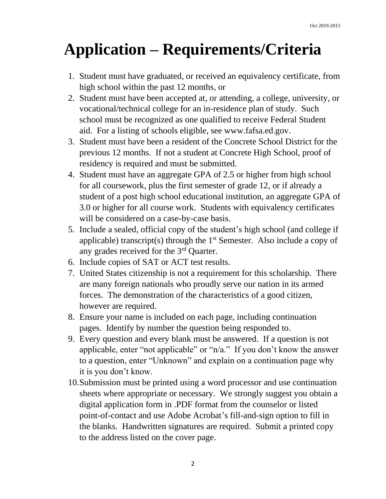# **Application – Requirements/Criteria**

- 1. Student must have graduated, or received an equivalency certificate, from high school within the past 12 months, or
- 2. Student must have been accepted at, or attending, a college, university, or vocational/technical college for an in-residence plan of study. Such school must be recognized as one qualified to receive Federal Student aid. For a listing of schools eligible, see www.fafsa.ed.gov.
- 3. Student must have been a resident of the Concrete School District for the previous 12 months. If not a student at Concrete High School, proof of residency is required and must be submitted.
- 4. Student must have an aggregate GPA of 2.5 or higher from high school for all coursework, plus the first semester of grade 12, or if already a student of a post high school educational institution, an aggregate GPA of 3.0 or higher for all course work. Students with equivalency certificates will be considered on a case-by-case basis.
- 5. Include a sealed, official copy of the student's high school (and college if applicable) transcript(s) through the  $1<sup>st</sup>$  Semester. Also include a copy of any grades received for the 3rd Quarter.
- 6. Include copies of SAT or ACT test results.
- 7. United States citizenship is not a requirement for this scholarship. There are many foreign nationals who proudly serve our nation in its armed forces. The demonstration of the characteristics of a good citizen, however are required.
- 8. Ensure your name is included on each page, including continuation pages. Identify by number the question being responded to.
- 9. Every question and every blank must be answered. If a question is not applicable, enter "not applicable" or "n/a." If you don't know the answer to a question, enter "Unknown" and explain on a continuation page why it is you don't know.
- 10.Submission must be printed using a word processor and use continuation sheets where appropriate or necessary. We strongly suggest you obtain a digital application form in .PDF format from the counselor or listed point-of-contact and use Adobe Acrobat's fill-and-sign option to fill in the blanks. Handwritten signatures are required. Submit a printed copy to the address listed on the cover page.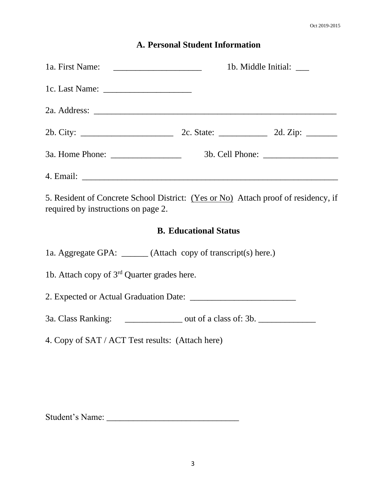#### **A. Personal Student Information**

|                                                                                                                           | 1b. Middle Initial: _____    |  |
|---------------------------------------------------------------------------------------------------------------------------|------------------------------|--|
|                                                                                                                           |                              |  |
|                                                                                                                           |                              |  |
|                                                                                                                           |                              |  |
|                                                                                                                           |                              |  |
|                                                                                                                           |                              |  |
| 5. Resident of Concrete School District: (Yes or No) Attach proof of residency, if<br>required by instructions on page 2. |                              |  |
|                                                                                                                           | <b>B. Educational Status</b> |  |
| 1a. Aggregate GPA: ______ (Attach copy of transcript(s) here.)                                                            |                              |  |
| 1b. Attach copy of $3rd$ Quarter grades here.                                                                             |                              |  |
|                                                                                                                           |                              |  |
| 3a. Class Ranking: _________________ out of a class of: 3b. ____________________                                          |                              |  |
| 4. Copy of SAT / ACT Test results: (Attach here)                                                                          |                              |  |
|                                                                                                                           |                              |  |
|                                                                                                                           |                              |  |

Student's Name: \_\_\_\_\_\_\_\_\_\_\_\_\_\_\_\_\_\_\_\_\_\_\_\_\_\_\_\_\_\_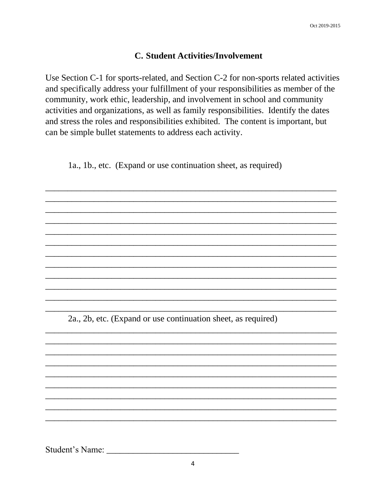#### **C. Student Activities/Involvement**

Use Section C-1 for sports-related, and Section C-2 for non-sports related activities and specifically address your fulfillment of your responsibilities as member of the community, work ethic, leadership, and involvement in school and community activities and organizations, as well as family responsibilities. Identify the dates and stress the roles and responsibilities exhibited. The content is important, but can be simple bullet statements to address each activity.

1a., 1b., etc. (Expand or use continuation sheet, as required)

2a., 2b, etc. (Expand or use continuation sheet, as required)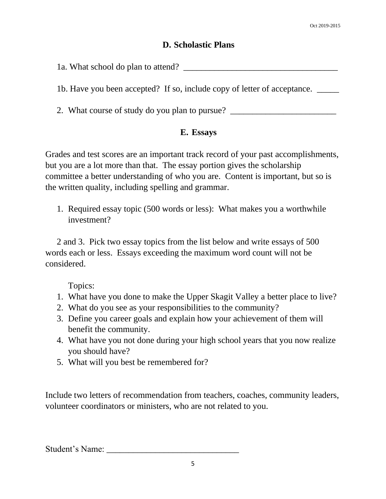#### **D. Scholastic Plans**

1a. What school do plan to attend?

1b. Have you been accepted? If so, include copy of letter of acceptance. \_\_\_\_\_

2. What course of study do you plan to pursue? \_\_\_\_\_\_\_\_\_\_\_\_\_\_\_\_\_\_\_\_\_\_\_\_\_\_\_\_\_\_\_\_\_\_

#### **E. Essays**

Grades and test scores are an important track record of your past accomplishments, but you are a lot more than that. The essay portion gives the scholarship committee a better understanding of who you are. Content is important, but so is the written quality, including spelling and grammar.

1. Required essay topic (500 words or less): What makes you a worthwhile investment?

2 and 3. Pick two essay topics from the list below and write essays of 500 words each or less. Essays exceeding the maximum word count will not be considered.

Topics:

- 1. What have you done to make the Upper Skagit Valley a better place to live?
- 2. What do you see as your responsibilities to the community?
- 3. Define you career goals and explain how your achievement of them will benefit the community.
- 4. What have you not done during your high school years that you now realize you should have?
- 5. What will you best be remembered for?

Include two letters of recommendation from teachers, coaches, community leaders, volunteer coordinators or ministers, who are not related to you.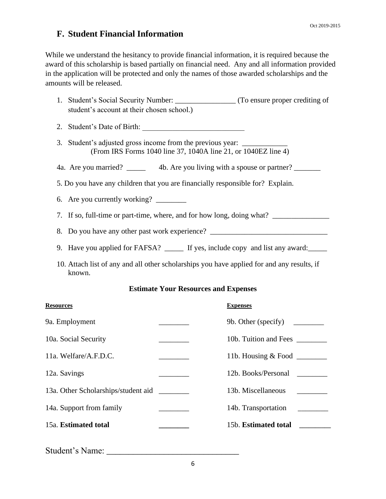#### **F. Student Financial Information**

While we understand the hesitancy to provide financial information, it is required because the award of this scholarship is based partially on financial need. Any and all information provided in the application will be protected and only the names of those awarded scholarships and the amounts will be released.

- 1. Student's Social Security Number: \_\_\_\_\_\_\_\_\_\_\_\_\_\_\_ (To ensure proper crediting of student's account at their chosen school.)
- 2. Student's Date of Birth:
- 3. Student's adjusted gross income from the previous vear: (From IRS Forms 1040 line 37, 1040A line 21, or 1040EZ line 4)
- 4a. Are you married? \_\_\_\_\_\_\_ 4b. Are you living with a spouse or partner? \_\_\_\_\_\_
- 5. Do you have any children that you are financially responsible for? Explain.
- 6. Are you currently working? \_\_\_\_\_\_\_\_
- 7. If so, full-time or part-time, where, and for how long, doing what?
- 8. Do you have any other past work experience?
- 9. Have you applied for FAFSA? \_\_\_\_\_\_ If yes, include copy and list any award:
- 10. Attach list of any and all other scholarships you have applied for and any results, if known.

#### **Estimate Your Resources and Expenses**

| <b>Resources</b>                    | <b>Expenses</b>                |
|-------------------------------------|--------------------------------|
| 9a. Employment                      | 9b. Other (specify)            |
| 10a. Social Security                | 10b. Tuition and Fees          |
| 11a. Welfare/A.F.D.C.               | 11b. Housing $&$ Food $\qquad$ |
| 12a. Savings                        | 12b. Books/Personal            |
| 13a. Other Scholarships/student aid | 13b. Miscellaneous             |
| 14a. Support from family            | 14b. Transportation            |
| 15a. Estimated total                | 15b. Estimated total           |
|                                     |                                |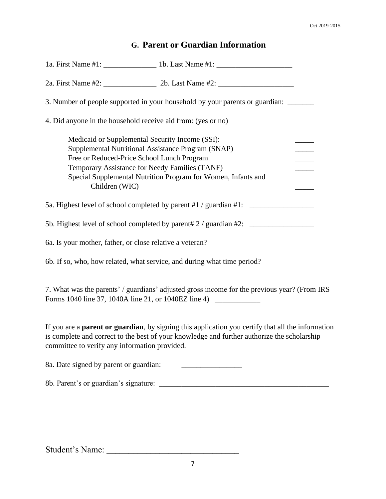### **G. Parent or Guardian Information**

| 3. Number of people supported in your household by your parents or guardian:                                                                                                                                                                                                             |  |  |
|------------------------------------------------------------------------------------------------------------------------------------------------------------------------------------------------------------------------------------------------------------------------------------------|--|--|
| 4. Did anyone in the household receive aid from: (yes or no)                                                                                                                                                                                                                             |  |  |
| Medicaid or Supplemental Security Income (SSI):<br>Supplemental Nutritional Assistance Program (SNAP)<br>Free or Reduced-Price School Lunch Program<br>Temporary Assistance for Needy Families (TANF)<br>Special Supplemental Nutrition Program for Women, Infants and<br>Children (WIC) |  |  |
| 5a. Highest level of school completed by parent #1 / guardian #1:                                                                                                                                                                                                                        |  |  |
| 5b. Highest level of school completed by parent# 2 / guardian #2: ______________                                                                                                                                                                                                         |  |  |
| 6a. Is your mother, father, or close relative a veteran?                                                                                                                                                                                                                                 |  |  |
| 6b. If so, who, how related, what service, and during what time period?                                                                                                                                                                                                                  |  |  |
| 7. What was the parents' / guardians' adjusted gross income for the previous year? (From IRS<br>Forms 1040 line 37, 1040A line 21, or 1040EZ line 4) ____________________________                                                                                                        |  |  |
| If you are a <b>parent or guardian</b> , by signing this application you certify that all the information<br>is complete and correct to the best of your knowledge and further authorize the scholarship<br>committee to verify any information provided.                                |  |  |
| 8a. Date signed by parent or guardian:<br><u> 1989 - Andrea Albert III, político establecente de la provincia de la provincia de la provincia de la provincia</u>                                                                                                                        |  |  |
|                                                                                                                                                                                                                                                                                          |  |  |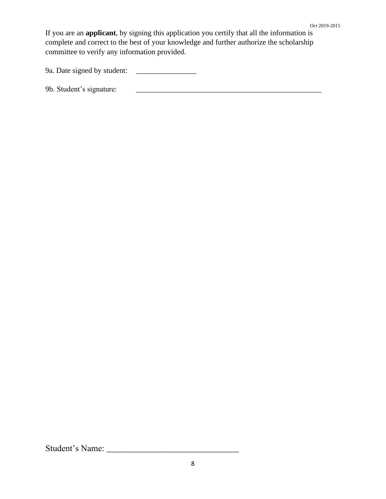If you are an **applicant**, by signing this application you certify that all the information is complete and correct to the best of your knowledge and further authorize the scholarship committee to verify any information provided.

9a. Date signed by student: \_\_\_\_\_\_\_\_\_\_\_\_\_\_\_\_

9b. Student's signature: \_\_\_\_\_\_\_\_\_\_\_\_\_\_\_\_\_\_\_\_\_\_\_\_\_\_\_\_\_\_\_\_\_\_\_\_\_\_\_\_\_\_\_\_\_\_\_\_\_